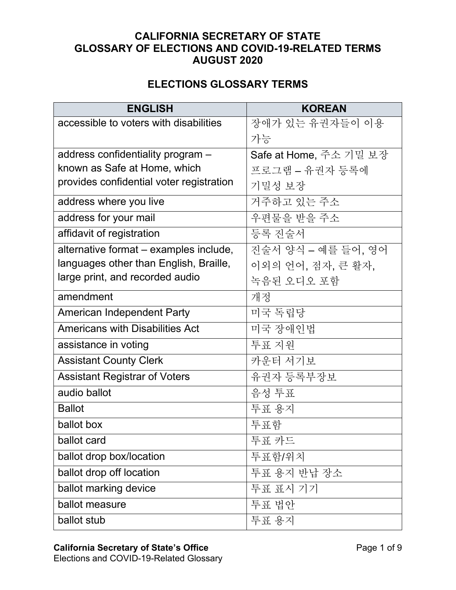## **CALIFORNIA SECRETARY OF STATE GLOSSARY OF ELECTIONS AND COVID-19-RELATED TERMS AUGUST 2020**

## **ELECTIONS GLOSSARY TERMS**

| <b>ENGLISH</b>                           | <b>KOREAN</b>          |
|------------------------------------------|------------------------|
| accessible to voters with disabilities   | 장애가 있는 유권자들이 이용        |
|                                          | 가능                     |
| address confidentiality program -        | Safe at Home, 주소 기밀 보장 |
| known as Safe at Home, which             | 프로그램 - 유권자 등록에         |
| provides confidential voter registration | 기밀성 보장                 |
| address where you live                   | 거주하고 있는 주소             |
| address for your mail                    | 우편물을 받을 주소             |
| affidavit of registration                | 등록 진술서                 |
| alternative format – examples include,   | 진술서 양식 - 예를 들어, 영어     |
| languages other than English, Braille,   | 이외의 언어, 점자, 큰 활자,      |
| large print, and recorded audio          | 녹음된 오디오 포함             |
| amendment                                | 개정                     |
| American Independent Party               | 미국 독립당                 |
| <b>Americans with Disabilities Act</b>   | 미국 장애인법                |
| assistance in voting                     | 투표 지원                  |
| <b>Assistant County Clerk</b>            | 카운터 서기보                |
| <b>Assistant Registrar of Voters</b>     | 유권자 등록부장보              |
| audio ballot                             | 음성 투표                  |
| <b>Ballot</b>                            | 투표 용지                  |
| ballot box                               | 투표함                    |
| ballot card                              | 투표 카드                  |
| ballot drop box/location                 | 투표함/위치                 |
| ballot drop off location                 | 투표 용지 반납 장소            |
| ballot marking device                    | 투표 표시 기기               |
| ballot measure                           | 투표 법안                  |
| ballot stub                              | 투표 용지                  |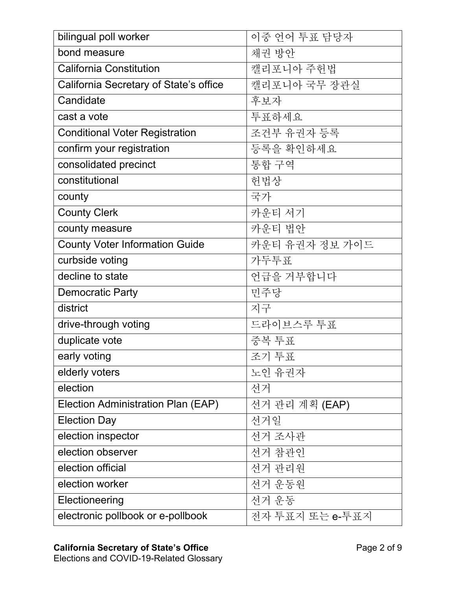| bilingual poll worker                  | 이중 언어 투표 담당자    |
|----------------------------------------|-----------------|
| bond measure                           | 채권 방안           |
| <b>California Constitution</b>         | 캘리포니아 주헌법       |
| California Secretary of State's office | 캘리포니아 국무 장관실    |
| Candidate                              | 후보자             |
| cast a vote                            | 투표하세요           |
| <b>Conditional Voter Registration</b>  | 조건부 유권자 등록      |
| confirm your registration              | 등록을 확인하세요       |
| consolidated precinct                  | 통합 구역           |
| constitutional                         | 헌법상             |
| county                                 | 국가              |
| <b>County Clerk</b>                    | 카운티 서기          |
| county measure                         | 카운티 법안          |
| <b>County Voter Information Guide</b>  | 카운티 유권자 정보 가이드  |
| curbside voting                        | 가두투표            |
| decline to state                       | 언급을 거부합니다       |
| <b>Democratic Party</b>                | 민주당             |
| district                               | 지구              |
| drive-through voting                   | 드라이브스루 투표       |
| duplicate vote                         | 중복 투표           |
| early voting                           | 조기 투표           |
| elderly voters                         | 노인 유권자          |
| election                               | 선거              |
| Election Administration Plan (EAP)     | 선거 관리 계획 (EAP)  |
| <b>Election Day</b>                    | 선거일             |
| election inspector                     | 선거 조사관          |
| election observer                      | 선거 참관인          |
| election official                      | 선거 관리원          |
| election worker                        | 선거 운동원          |
| Electioneering                         | 선거 운동           |
| electronic pollbook or e-pollbook      | 전자 투표지 또는 e-투표지 |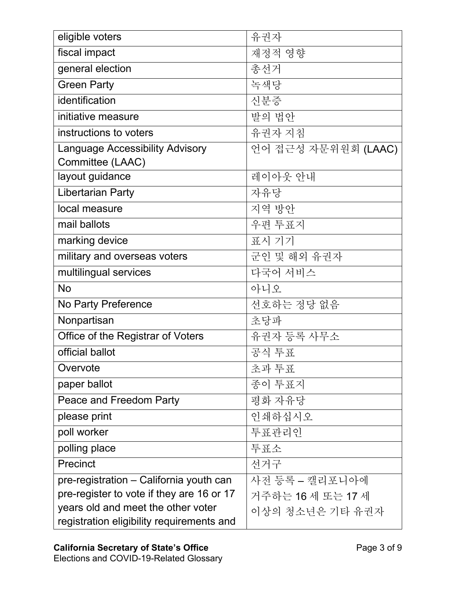| eligible voters                           | 유권자                 |
|-------------------------------------------|---------------------|
| fiscal impact                             | 재정적 영향              |
| general election                          | 총선거                 |
| <b>Green Party</b>                        | 녹색당                 |
| identification                            | 신분증                 |
| initiative measure                        | 발의 법안               |
| instructions to voters                    | 유권자 지침              |
| <b>Language Accessibility Advisory</b>    | 언어 접근성 자문위원회 (LAAC) |
| Committee (LAAC)                          |                     |
| layout guidance                           | 레이아웃 안내             |
| <b>Libertarian Party</b>                  | 자유당                 |
| local measure                             | 지역 방안               |
| mail ballots                              | 우편 투표지              |
| marking device                            | 표시 기기               |
| military and overseas voters              | 군인 및 해외 유권자         |
| multilingual services                     | 다국어 서비스             |
| <b>No</b>                                 | 아니오                 |
| No Party Preference                       | 선호하는 정당 없음          |
| Nonpartisan                               | 초당파                 |
| Office of the Registrar of Voters         | 유권자 등록 사무소          |
| official ballot                           | 공식 투표               |
| Overvote                                  | 초과 투표               |
| paper ballot                              | 종이 투표지              |
| Peace and Freedom Party                   | 평화 자유당              |
| please print                              | 인쇄하십시오              |
| poll worker                               | 투표관리인               |
| polling place                             | 투표소                 |
| Precinct                                  | 선거구                 |
| pre-registration – California youth can   | 사전 등록 – 캘리포니아에      |
| pre-register to vote if they are 16 or 17 | 거주하는 16 세 또는 17 세   |
| years old and meet the other voter        | 이상의 청소년은 기타 유권자     |
| registration eligibility requirements and |                     |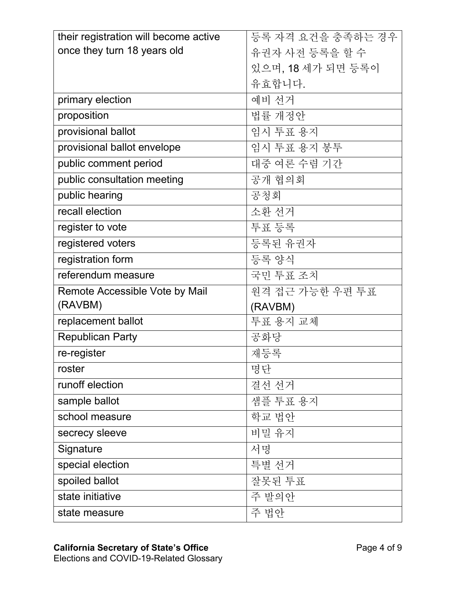| their registration will become active | 등록 자격 요건을 충족하는 경우 |
|---------------------------------------|-------------------|
| once they turn 18 years old           | 유권자 사전 등록을 할 수    |
|                                       | 있으며, 18 세가 되면 등록이 |
|                                       | 유효합니다.            |
| primary election                      | 예비 선거             |
| proposition                           | 법률 개정안            |
| provisional ballot                    | 임시 투표 용지          |
| provisional ballot envelope           | 임시 투표 용지 봉투       |
| public comment period                 | 대중 여론 수렴 기간       |
| public consultation meeting           | 공개 협의회            |
| public hearing                        | 공청회               |
| recall election                       | 소환 선거             |
| register to vote                      | 투표 등록             |
| registered voters                     | 등록된 유권자           |
| registration form                     | 등록 양식             |
|                                       |                   |
| referendum measure                    | 국민 투표 조치          |
| Remote Accessible Vote by Mail        | 원격 접근 가능한 우편 투표   |
| (RAVBM)                               | (RAVBM)           |
| replacement ballot                    | 투표 용지 교체          |
| <b>Republican Party</b>               | 공화당               |
| re-register                           | 재등록               |
| roster                                | 명단                |
| runoff election                       | 결선 선거             |
| sample ballot                         | 샘플 투표 용지          |
| school measure                        | 학교 법안             |
| secrecy sleeve                        | 비밀 유지             |
| Signature                             | 서명                |
| special election                      | 특별 선거             |
| spoiled ballot                        | 잘못된 투표            |
| state initiative                      | 주 발의안             |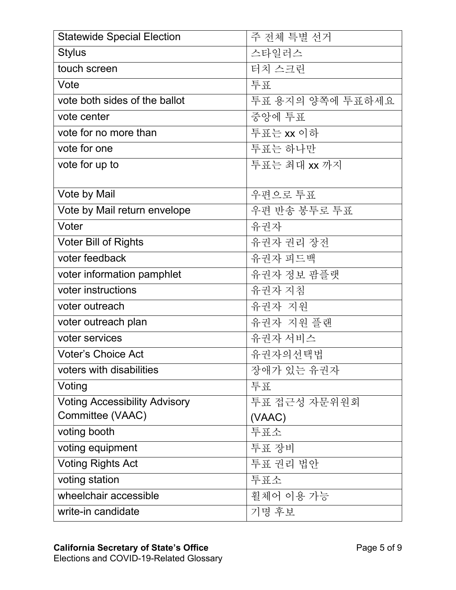| <b>Statewide Special Election</b>    | 주 전체 특별 선거       |
|--------------------------------------|------------------|
| <b>Stylus</b>                        | 스타일러스            |
| touch screen                         | 터치 스크린           |
| Vote                                 | 导豆               |
| vote both sides of the ballot        | 투표 용지의 양쪽에 투표하세요 |
| vote center                          | 중앙에 투표           |
| vote for no more than                | 투표는 xx 이하        |
| vote for one                         | 투표는 하나만          |
| vote for up to                       | 투표는 최대 xx 까지     |
|                                      |                  |
| Vote by Mail                         | 우편으로 투표          |
| Vote by Mail return envelope         | 우편 반송 봉투로 투표     |
| Voter                                | 유권자              |
| <b>Voter Bill of Rights</b>          | 유권자 권리 장전        |
| voter feedback                       | 유권자 피드백          |
| voter information pamphlet           | 유권자 정보 팜플랫       |
| voter instructions                   | 유권자 지침           |
| voter outreach                       | 유권자 지원           |
| voter outreach plan                  | 유권자 지원 플랜        |
| voter services                       | 유권자 서비스          |
| <b>Voter's Choice Act</b>            | 유권자의선택법          |
| voters with disabilities             | 장애가 있는 유권자       |
| Voting                               | 导豆               |
| <b>Voting Accessibility Advisory</b> | 투표 접근성 자문위원회     |
| Committee (VAAC)                     | (VAAC)           |
| voting booth                         | 투표소              |
| voting equipment                     | 투표 장비            |
| <b>Voting Rights Act</b>             | 투표 권리 법안         |
| voting station                       | 투표소              |
| wheelchair accessible                | 휠체어 이용 가능        |
| write-in candidate                   | 기명 후보            |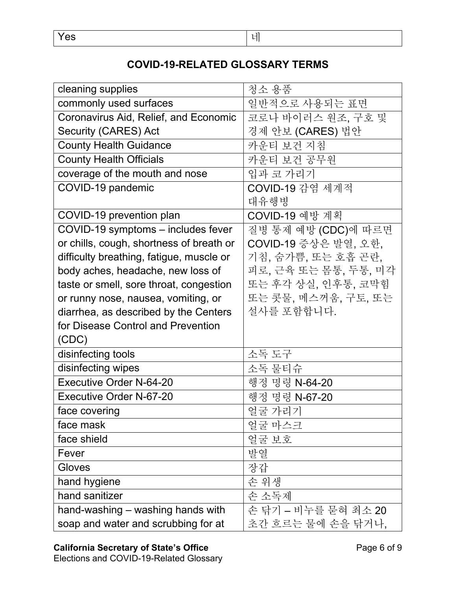## **COVID-19-RELATED GLOSSARY TERMS**

| cleaning supplies                        | 청소 용품                |
|------------------------------------------|----------------------|
| commonly used surfaces                   | 일반적으로 사용되는 표면        |
| Coronavirus Aid, Relief, and Economic    | 코로나 바이러스 원조, 구호 및    |
| Security (CARES) Act                     | 경제 안보 (CARES) 법안     |
| <b>County Health Guidance</b>            | 카운티 보건 지침            |
| <b>County Health Officials</b>           | 카운티 보건 공무원           |
| coverage of the mouth and nose           | 입과 코 가리기             |
| COVID-19 pandemic                        | COVID-19 감염 세계적      |
|                                          | 대유행병                 |
| COVID-19 prevention plan                 | COVID-19 예방 계획       |
| COVID-19 symptoms - includes fever       | 질병 통제 예방 (CDC)에 따르면  |
| or chills, cough, shortness of breath or | COVID-19 증상은 발열, 오한, |
| difficulty breathing, fatigue, muscle or | 기침, 숨가쁨, 또는 호흡 곤란,   |
| body aches, headache, new loss of        | 피로, 근육 또는 몸통, 두통, 미각 |
| taste or smell, sore throat, congestion  | 또는 후각 상실, 인후통, 코막힘   |
| or runny nose, nausea, vomiting, or      | 또는 콧물, 메스꺼움, 구토, 또는  |
| diarrhea, as described by the Centers    | 설사를 포함합니다.           |
| for Disease Control and Prevention       |                      |
| (CDC)                                    |                      |
| disinfecting tools                       | 소독 도구                |
| disinfecting wipes                       | 소독 물티슈               |
| <b>Executive Order N-64-20</b>           | 행정 명령 N-64-20        |
| <b>Executive Order N-67-20</b>           | 행정 명령 N-67-20        |
| face covering                            | 얼굴 가리기               |
| face mask                                | 얼굴 마스크               |
| face shield                              | 얼굴 보호                |
| Fever                                    | 발열                   |
| Gloves                                   | 장갑                   |
| hand hygiene                             | 손 위생                 |
| hand sanitizer                           | 손 소독제                |
| hand-washing – washing hands with        | 손 닦기 – 비누를 묻혀 최소 20  |
| soap and water and scrubbing for at      | 초간 흐르는 물에 손을 닦거나,    |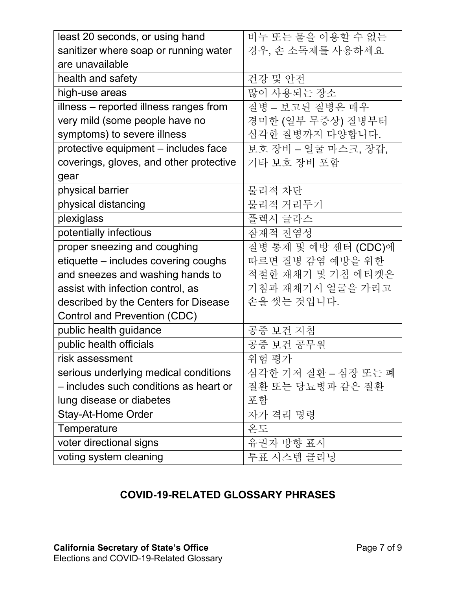| least 20 seconds, or using hand         | 비누 또는 물을 이용할 수 없는    |
|-----------------------------------------|----------------------|
| sanitizer where soap or running water   | 경우, 손 소독제를 사용하세요     |
| are unavailable                         |                      |
| health and safety                       | 건강 및 안전              |
| high-use areas                          | 많이 사용되는 장소           |
| illness - reported illness ranges from  | 질병 - 보고된 질병은 매우      |
| very mild (some people have no          | 경미한 (일부 무증상) 질병부터    |
| symptoms) to severe illness             | 심각한 질병까지 다양합니다.      |
| protective equipment - includes face    | 보호 장비 - 얼굴 마스크, 장갑,  |
| coverings, gloves, and other protective | 기타 보호 장비 포함          |
| gear                                    |                      |
| physical barrier                        | 물리적 차단               |
| physical distancing                     | 물리적 거리두기             |
| plexiglass                              | 플렉시 글라스              |
| potentially infectious                  | 잠재적 전염성              |
| proper sneezing and coughing            | 질병 통제 및 예방 센터 (CDC)에 |
| etiquette – includes covering coughs    | 따르면 질병 감염 예방을 위한     |
| and sneezes and washing hands to        | 적절한 재채기 및 기침 에티켓은    |
| assist with infection control, as       | 기침과 재채기시 얼굴을 가리고     |
| described by the Centers for Disease    | 손을 씻는 것입니다.          |
| Control and Prevention (CDC)            |                      |
| public health guidance                  | 공중 보건 지침             |
| public health officials                 | 공중 보건 공무원            |
| risk assessment                         | 위험 평가                |
| serious underlying medical conditions   | 심각한 기저 질환 – 심장 또는 폐  |
| - includes such conditions as heart or  | 질환 또는 당뇨병과 같은 질환     |
| lung disease or diabetes                | 포함                   |
| Stay-At-Home Order                      | 자가 격리 명령             |
| Temperature                             | 온도                   |
| voter directional signs                 | 유권자 방향 표시            |
| voting system cleaning                  | 투표 시스템 클리닝           |

## **COVID-19-RELATED GLOSSARY PHRASES**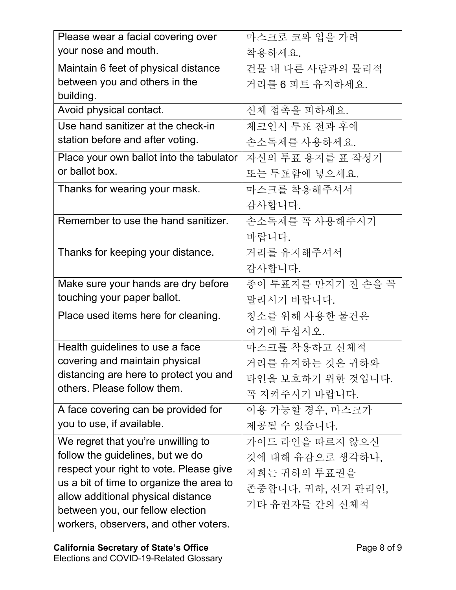| Please wear a facial covering over       | 마스크로 코와 입을 가려      |
|------------------------------------------|--------------------|
| your nose and mouth.                     | 착용하세요.             |
| Maintain 6 feet of physical distance     | 건물 내 다른 사람과의 물리적   |
| between you and others in the            | 거리를 6 피트 유지하세요.    |
| building.                                |                    |
| Avoid physical contact.                  | 신체 접촉을 피하세요.       |
| Use hand sanitizer at the check-in       | 체크인시 투표 전과 후에      |
| station before and after voting.         | 손소독제를 사용하세요.       |
| Place your own ballot into the tabulator | 자신의 투표 용지를 표 작성기   |
| or ballot box.                           | 또는 투표함에 넣으세요.      |
| Thanks for wearing your mask.            | 마스크를 착용해주셔서        |
|                                          | 감사합니다.             |
| Remember to use the hand sanitizer.      | 손소독제를 꼭 사용해주시기     |
|                                          | 바랍니다.              |
| Thanks for keeping your distance.        | 거리를 유지해주셔서         |
|                                          | 감사합니다.             |
| Make sure your hands are dry before      | 종이 투표지를 만지기 전 손을 꼭 |
| touching your paper ballot.              | 말리시기 바랍니다.         |
| Place used items here for cleaning.      | 청소를 위해 사용한 물건은     |
|                                          | 여기에 두십시오.          |
| Health guidelines to use a face          | 마스크를 착용하고 신체적      |
| covering and maintain physical           | 거리를 유지하는 것은 귀하와    |
| distancing are here to protect you and   | 타인을 보호하기 위한 것입니다.  |
| others. Please follow them.              | 꼭 지켜주시기 바랍니다.      |
| A face covering can be provided for      | 이용 가능할 경우, 마스크가    |
| you to use, if available.                | 제공될 수 있습니다.        |
| We regret that you're unwilling to       | 가이드 라인을 따르지 않으신    |
| follow the guidelines, but we do         | 것에 대해 유감으로 생각하나.   |
| respect your right to vote. Please give  | 저희는 귀하의 투표권을       |
| us a bit of time to organize the area to | 존중합니다. 귀하, 선거 관리인, |
| allow additional physical distance       | 기타 유권자들 간의 신체적     |
| between you, our fellow election         |                    |
| workers, observers, and other voters.    |                    |